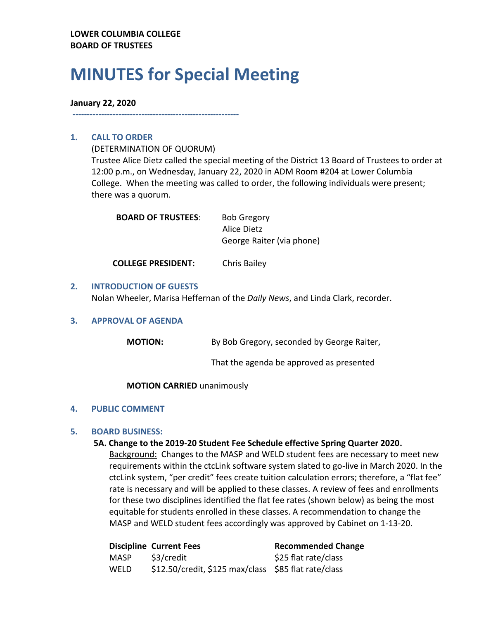# **MINUTES for Special Meeting**

#### **January 22, 2020**

**----------------------------------------------------------**

## **1. CALL TO ORDER**

(DETERMINATION OF QUORUM)

Trustee Alice Dietz called the special meeting of the District 13 Board of Trustees to order at 12:00 p.m., on Wednesday, January 22, 2020 in ADM Room #204 at Lower Columbia College. When the meeting was called to order, the following individuals were present; there was a quorum.

| <b>BOARD OF TRUSTEES:</b> | <b>Bob Gregory</b>        |  |
|---------------------------|---------------------------|--|
|                           | Alice Dietz               |  |
|                           | George Raiter (via phone) |  |
|                           |                           |  |

**COLLEGE PRESIDENT:** Chris Bailey

## **2. INTRODUCTION OF GUESTS**

Nolan Wheeler, Marisa Heffernan of the *Daily News*, and Linda Clark, recorder.

## **3. APPROVAL OF AGENDA**

| <b>MOTION:</b> | By Bob Gregory, seconded by George Raiter, |
|----------------|--------------------------------------------|
|----------------|--------------------------------------------|

That the agenda be approved as presented

**MOTION CARRIED** unanimously

## **4. PUBLIC COMMENT**

## **5. BOARD BUSINESS:**

## **5A. Change to the 2019-20 Student Fee Schedule effective Spring Quarter 2020.**

Background: Changes to the MASP and WELD student fees are necessary to meet new requirements within the ctcLink software system slated to go-live in March 2020. In the ctcLink system, "per credit" fees create tuition calculation errors; therefore, a "flat fee" rate is necessary and will be applied to these classes. A review of fees and enrollments for these two disciplines identified the flat fee rates (shown below) as being the most equitable for students enrolled in these classes. A recommendation to change the MASP and WELD student fees accordingly was approved by Cabinet on 1-13-20.

|      | <b>Discipline Current Fees</b>                       | <b>Recommended Change</b> |
|------|------------------------------------------------------|---------------------------|
| MASP | \$3/credit                                           | \$25 flat rate/class      |
| WELD | \$12.50/credit, \$125 max/class \$85 flat rate/class |                           |